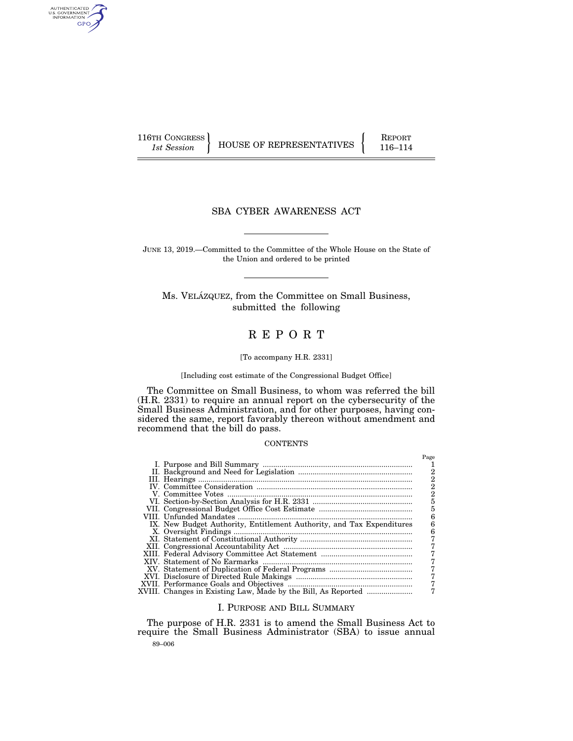AUTHENTICATED<br>U.S. GOVERNMENT<br>INFORMATION GPO

116TH CONGRESS HOUSE OF REPRESENTATIVES FEPORT 116–114

## SBA CYBER AWARENESS ACT

JUNE 13, 2019.—Committed to the Committee of the Whole House on the State of the Union and ordered to be printed

Ms. VELÁZQUEZ, from the Committee on Small Business, submitted the following

# R E P O R T

#### [To accompany H.R. 2331]

#### [Including cost estimate of the Congressional Budget Office]

The Committee on Small Business, to whom was referred the bill (H.R. 2331) to require an annual report on the cybersecurity of the Small Business Administration, and for other purposes, having considered the same, report favorably thereon without amendment and recommend that the bill do pass.

#### **CONTENTS**

|                                                                       | Page |
|-----------------------------------------------------------------------|------|
|                                                                       |      |
|                                                                       | 2    |
|                                                                       |      |
|                                                                       | 2    |
|                                                                       |      |
|                                                                       |      |
|                                                                       |      |
|                                                                       |      |
| IX. New Budget Authority, Entitlement Authority, and Tax Expenditures |      |
|                                                                       |      |
|                                                                       |      |
|                                                                       |      |
|                                                                       |      |
|                                                                       |      |
|                                                                       |      |
|                                                                       |      |
|                                                                       |      |
|                                                                       |      |
| XVIII. Changes in Existing Law, Made by the Bill, As Reported         |      |

## I. PURPOSE AND BILL SUMMARY

89–006 The purpose of H.R. 2331 is to amend the Small Business Act to require the Small Business Administrator (SBA) to issue annual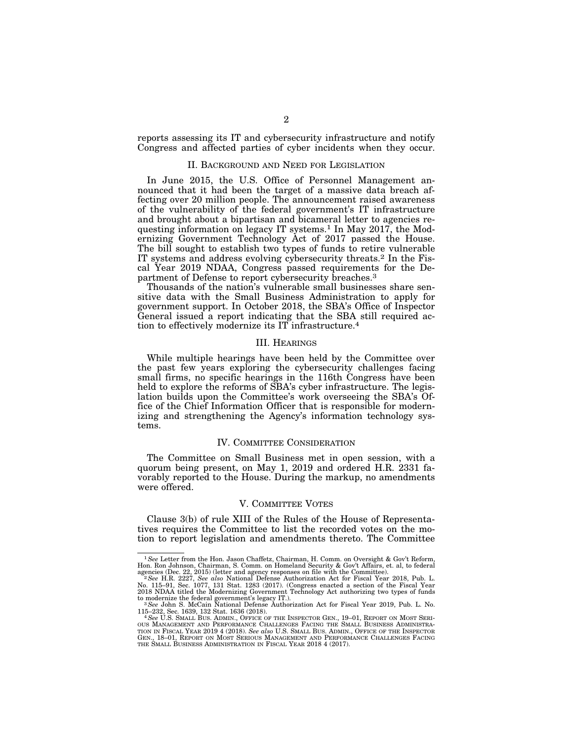reports assessing its IT and cybersecurity infrastructure and notify Congress and affected parties of cyber incidents when they occur.

#### II. BACKGROUND AND NEED FOR LEGISLATION

In June 2015, the U.S. Office of Personnel Management announced that it had been the target of a massive data breach affecting over 20 million people. The announcement raised awareness of the vulnerability of the federal government's IT infrastructure and brought about a bipartisan and bicameral letter to agencies requesting information on legacy IT systems.<sup>1</sup> In May 2017, the Modernizing Government Technology Act of 2017 passed the House. The bill sought to establish two types of funds to retire vulnerable IT systems and address evolving cybersecurity threats.2 In the Fiscal Year 2019 NDAA, Congress passed requirements for the Department of Defense to report cybersecurity breaches.3

Thousands of the nation's vulnerable small businesses share sensitive data with the Small Business Administration to apply for government support. In October 2018, the SBA's Office of Inspector General issued a report indicating that the SBA still required action to effectively modernize its IT infrastructure.4

#### III. HEARINGS

While multiple hearings have been held by the Committee over the past few years exploring the cybersecurity challenges facing small firms, no specific hearings in the 116th Congress have been held to explore the reforms of SBA's cyber infrastructure. The legislation builds upon the Committee's work overseeing the SBA's Office of the Chief Information Officer that is responsible for modernizing and strengthening the Agency's information technology systems.

#### IV. COMMITTEE CONSIDERATION

The Committee on Small Business met in open session, with a quorum being present, on May 1, 2019 and ordered H.R. 2331 favorably reported to the House. During the markup, no amendments were offered.

## V. COMMITTEE VOTES

Clause 3(b) of rule XIII of the Rules of the House of Representatives requires the Committee to list the recorded votes on the motion to report legislation and amendments thereto. The Committee

<sup>&</sup>lt;sup>1</sup> See Letter from the Hon. Jason Chaffetz, Chairman, H. Comm. on Oversight & Gov't Reform, Hon. Ron Johnson, Chairman, S. Comm. on Homeland Security & Gov't Affairs, et. al, to federal

agencies (Dec. 22, 2015) (letter and agency responses on file with the Committee).<br>- <sup>2</sup> See H.R. 2227, See *also* National Defense Authorization Act for Fiscal Year 2018, Pub. L.<br>No. 115–91, Sec. 1077, 131 Stat. 1283 (201 2018 NDAA titled the Modernizing Government Technology Act authorizing two types of funds<br>to modernize the federal government's legacy IT.).<br><sup>3</sup> See John S. McCain National Defense Authorization Act for Fiscal Year 2019, P

<sup>115–232,</sup> Sec. 1639, 132 Stat. 1636 (2018).<br>4 See U.S. SMALL Bus. ADMIN., Office of the Inspector Gen., 19–01, Report on Most Seri-<br>0US MANAGEMENT AND PERFORMANCE CHALLENGES FACING THE SMALL BUSINESS ADMINISTRA-TION IN FISCAL YEAR 2019 4 (2018). *See also* U.S. SMALL BUS. ADMIN., OFFICE OF THE INSPECTOR GEN., 18–01, REPORT ON MOST SERIOUS MANAGEMENT AND PERFORMANCE CHALLENGES FACING THE SMALL BUSINESS ADMINISTRATION IN FISCAL YEAR 2018 4 (2017).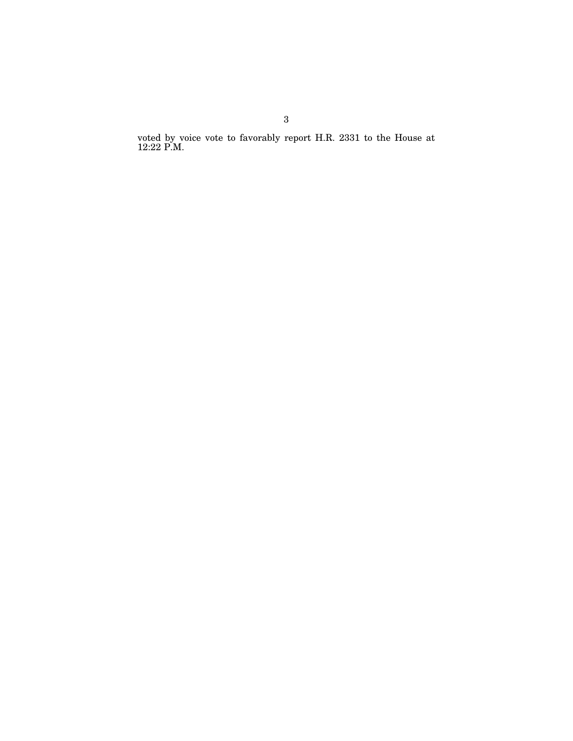voted by voice vote to favorably report H.R. 2331 to the House at 12:22 P.M.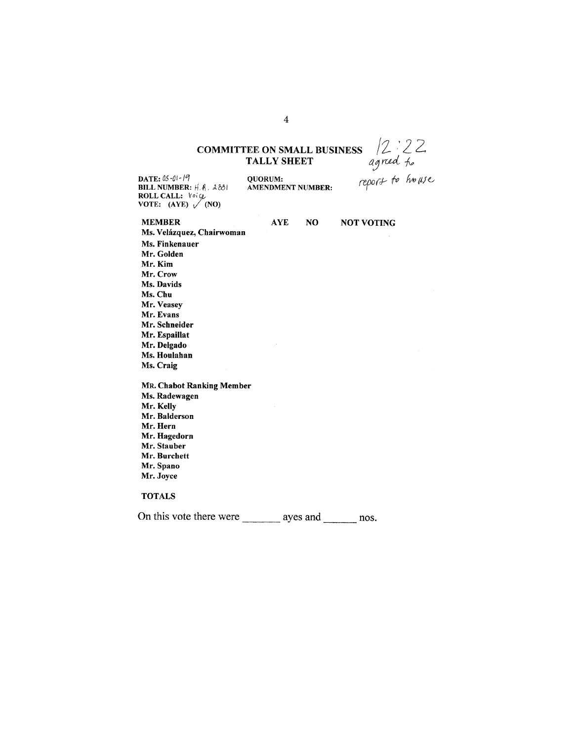# **COMMITTEE ON SMALL BUSINESS**  $\begin{matrix} 2 & 2 & 2 \\ 4 & 2 & 3 \\ 0 & 0 & 0 \\ 0 & 0 & 0 \\ 0 & 0 & 0 \\ 0 & 0 & 0 \\ 0 & 0 & 0 \\ 0 & 0 & 0 \\ 0 & 0 & 0 \\ 0 & 0 & 0 \\ 0 & 0 & 0 \\ 0 & 0 & 0 \\ 0 & 0 & 0 \\ 0 & 0 & 0 \\ 0 & 0 & 0 \\ 0 & 0 & 0 \\ 0 & 0 & 0 \\ 0 & 0 & 0 \\ 0 & 0 & 0 \\ 0 & 0 & 0 \\ 0 & 0$

DATE: 05-01-19 BILL NUMBER:  $H.$   $R.$  2831 ROLL CALL: Voice<br>VOTE: (AYE) (NO)

| <b>MEMBER</b>             | <b>AYE</b> | NO.      | <b>NOT VOTING</b> |
|---------------------------|------------|----------|-------------------|
| Ms. Velázquez, Chairwoman |            |          |                   |
| Ms. Finkenauer            |            |          |                   |
| Mr. Golden                |            |          |                   |
| Mr. Kim                   |            |          |                   |
| Mr. Crow                  |            |          |                   |
| Ms. Davids                |            |          |                   |
| Ms. Chu                   |            |          |                   |
| Mr. Veasey                |            |          |                   |
| Mr. Evans                 |            |          |                   |
| Mr. Schneider             |            |          |                   |
| Mr. Espaillat             |            |          |                   |
| Mr. Delgado               |            |          |                   |
| Ms. Houlahan              |            |          |                   |
| Ms. Craig                 |            |          |                   |
| MR. Chabot Ranking Member |            |          |                   |
| Ms. Radewagen             |            |          |                   |
| Mr. Kelly                 |            |          |                   |
| Mr. Balderson             |            |          |                   |
| Mr. Hern                  |            |          |                   |
| Mr. Hagedorn              |            |          |                   |
| Mr. Stauber               |            |          |                   |
| Mr. Burchett              |            |          |                   |
| Mr. Spano                 |            |          |                   |
| Mr. Joyce                 |            |          |                   |
| <b>TOTALS</b>             |            |          |                   |
| On this vote there were   |            | ayes and | nos.              |

4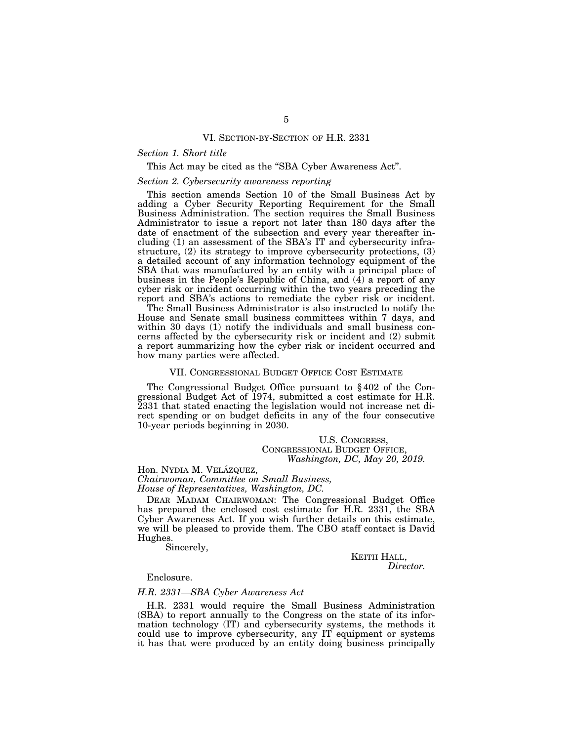#### VI. SECTION-BY-SECTION OF H.R. 2331

## *Section 1. Short title*

#### This Act may be cited as the "SBA Cyber Awareness Act".

## *Section 2. Cybersecurity awareness reporting*

This section amends Section 10 of the Small Business Act by adding a Cyber Security Reporting Requirement for the Small Business Administration. The section requires the Small Business Administrator to issue a report not later than 180 days after the date of enactment of the subsection and every year thereafter including (1) an assessment of the SBA's IT and cybersecurity infrastructure, (2) its strategy to improve cybersecurity protections, (3) a detailed account of any information technology equipment of the SBA that was manufactured by an entity with a principal place of business in the People's Republic of China, and  $(\hat{4})$  a report of any cyber risk or incident occurring within the two years preceding the report and SBA's actions to remediate the cyber risk or incident.

The Small Business Administrator is also instructed to notify the House and Senate small business committees within 7 days, and within 30 days (1) notify the individuals and small business concerns affected by the cybersecurity risk or incident and (2) submit a report summarizing how the cyber risk or incident occurred and how many parties were affected.

#### VII. CONGRESSIONAL BUDGET OFFICE COST ESTIMATE

The Congressional Budget Office pursuant to § 402 of the Congressional Budget Act of 1974, submitted a cost estimate for H.R. 2331 that stated enacting the legislation would not increase net direct spending or on budget deficits in any of the four consecutive 10-year periods beginning in 2030.

U.S. CONGRESS, CONGRESSIONAL BUDGET OFFICE, *Washington, DC, May 20, 2019.* 

Hon. NYDIA M. VELÁZQUEZ, *Chairwoman, Committee on Small Business, House of Representatives, Washington, DC.* 

DEAR MADAM CHAIRWOMAN: The Congressional Budget Office has prepared the enclosed cost estimate for H.R. 2331, the SBA Cyber Awareness Act. If you wish further details on this estimate, we will be pleased to provide them. The CBO staff contact is David Hughes.

Sincerely,

KEITH HALL, *Director.* 

Enclosure.

## *H.R. 2331—SBA Cyber Awareness Act*

H.R. 2331 would require the Small Business Administration (SBA) to report annually to the Congress on the state of its information technology (IT) and cybersecurity systems, the methods it could use to improve cybersecurity, any IT equipment or systems it has that were produced by an entity doing business principally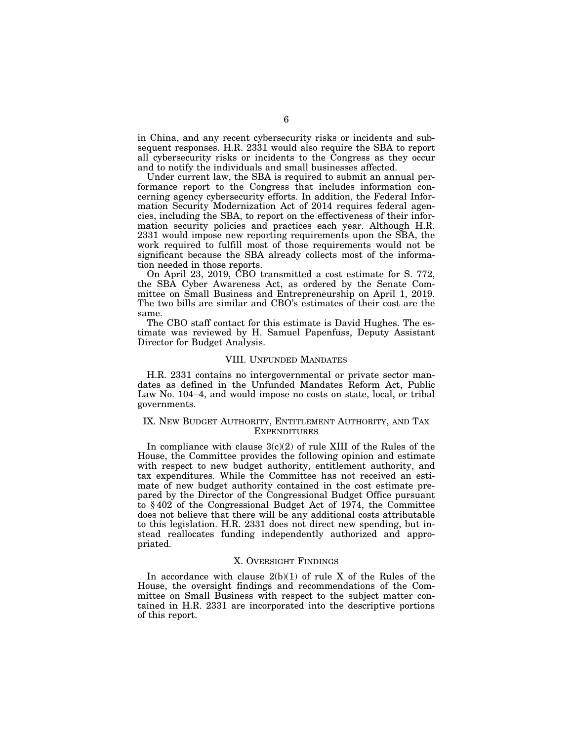in China, and any recent cybersecurity risks or incidents and subsequent responses. H.R. 2331 would also require the SBA to report all cybersecurity risks or incidents to the Congress as they occur and to notify the individuals and small businesses affected.

Under current law, the SBA is required to submit an annual performance report to the Congress that includes information concerning agency cybersecurity efforts. In addition, the Federal Information Security Modernization Act of 2014 requires federal agencies, including the SBA, to report on the effectiveness of their information security policies and practices each year. Although H.R. 2331 would impose new reporting requirements upon the SBA, the work required to fulfill most of those requirements would not be significant because the SBA already collects most of the information needed in those reports.

On April 23, 2019, CBO transmitted a cost estimate for S. 772, the SBA Cyber Awareness Act, as ordered by the Senate Committee on Small Business and Entrepreneurship on April 1, 2019. The two bills are similar and CBO's estimates of their cost are the same.

The CBO staff contact for this estimate is David Hughes. The estimate was reviewed by H. Samuel Papenfuss, Deputy Assistant Director for Budget Analysis.

#### VIII. UNFUNDED MANDATES

H.R. 2331 contains no intergovernmental or private sector mandates as defined in the Unfunded Mandates Reform Act, Public Law No. 104–4, and would impose no costs on state, local, or tribal governments.

#### IX. NEW BUDGET AUTHORITY, ENTITLEMENT AUTHORITY, AND TAX **EXPENDITURES**

In compliance with clause  $3(c)(2)$  of rule XIII of the Rules of the House, the Committee provides the following opinion and estimate with respect to new budget authority, entitlement authority, and tax expenditures. While the Committee has not received an estimate of new budget authority contained in the cost estimate prepared by the Director of the Congressional Budget Office pursuant to § 402 of the Congressional Budget Act of 1974, the Committee does not believe that there will be any additional costs attributable to this legislation. H.R. 2331 does not direct new spending, but instead reallocates funding independently authorized and appropriated.

## X. OVERSIGHT FINDINGS

In accordance with clause  $2(b)(1)$  of rule X of the Rules of the House, the oversight findings and recommendations of the Committee on Small Business with respect to the subject matter contained in H.R. 2331 are incorporated into the descriptive portions of this report.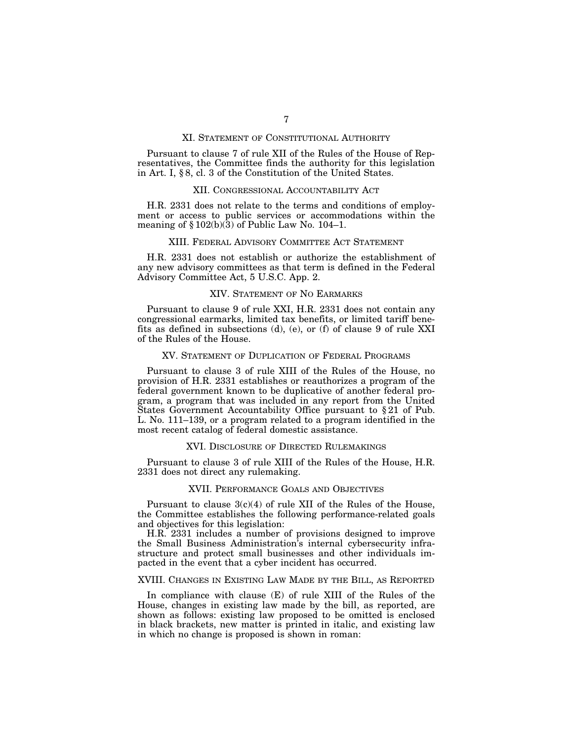#### XI. STATEMENT OF CONSTITUTIONAL AUTHORITY

Pursuant to clause 7 of rule XII of the Rules of the House of Representatives, the Committee finds the authority for this legislation in Art. I, § 8, cl. 3 of the Constitution of the United States.

#### XII. CONGRESSIONAL ACCOUNTABILITY ACT

H.R. 2331 does not relate to the terms and conditions of employment or access to public services or accommodations within the meaning of  $\S 102(b)(3)$  of Public Law No. 104–1.

## XIII. FEDERAL ADVISORY COMMITTEE ACT STATEMENT

H.R. 2331 does not establish or authorize the establishment of any new advisory committees as that term is defined in the Federal Advisory Committee Act, 5 U.S.C. App. 2.

## XIV. STATEMENT OF NO EARMARKS

Pursuant to clause 9 of rule XXI, H.R. 2331 does not contain any congressional earmarks, limited tax benefits, or limited tariff benefits as defined in subsections (d), (e), or (f) of clause 9 of rule XXI of the Rules of the House.

## XV. STATEMENT OF DUPLICATION OF FEDERAL PROGRAMS

Pursuant to clause 3 of rule XIII of the Rules of the House, no provision of H.R. 2331 establishes or reauthorizes a program of the federal government known to be duplicative of another federal program, a program that was included in any report from the United States Government Accountability Office pursuant to § 21 of Pub. L. No. 111–139, or a program related to a program identified in the most recent catalog of federal domestic assistance.

## XVI. DISCLOSURE OF DIRECTED RULEMAKINGS

Pursuant to clause 3 of rule XIII of the Rules of the House, H.R. 2331 does not direct any rulemaking.

## XVII. PERFORMANCE GOALS AND OBJECTIVES

Pursuant to clause  $3(c)(4)$  of rule XII of the Rules of the House, the Committee establishes the following performance-related goals and objectives for this legislation:

H.R. 2331 includes a number of provisions designed to improve the Small Business Administration's internal cybersecurity infrastructure and protect small businesses and other individuals impacted in the event that a cyber incident has occurred.

#### XVIII. CHANGES IN EXISTING LAW MADE BY THE BILL, AS REPORTED

In compliance with clause (E) of rule XIII of the Rules of the House, changes in existing law made by the bill, as reported, are shown as follows: existing law proposed to be omitted is enclosed in black brackets, new matter is printed in italic, and existing law in which no change is proposed is shown in roman: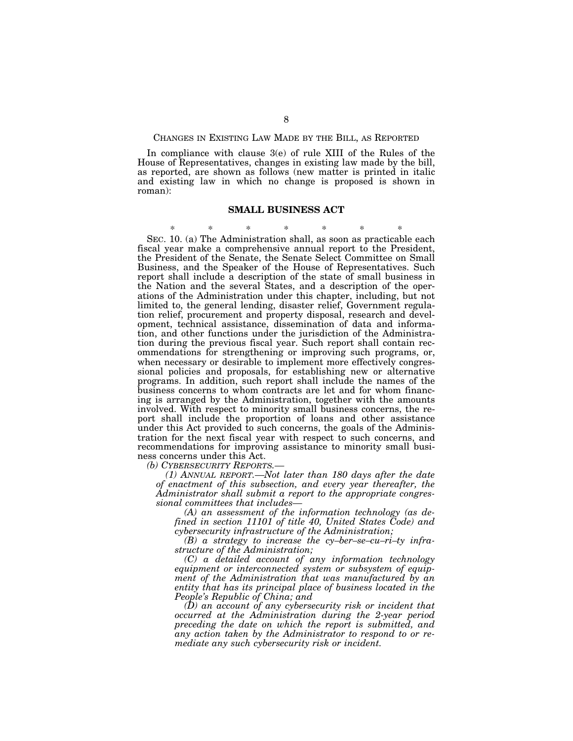CHANGES IN EXISTING LAW MADE BY THE BILL, AS REPORTED

In compliance with clause 3(e) of rule XIII of the Rules of the House of Representatives, changes in existing law made by the bill, as reported, are shown as follows (new matter is printed in italic and existing law in which no change is proposed is shown in roman):

#### **SMALL BUSINESS ACT**

\* \* \* \* \* \* \* SEC. 10. (a) The Administration shall, as soon as practicable each fiscal year make a comprehensive annual report to the President, the President of the Senate, the Senate Select Committee on Small Business, and the Speaker of the House of Representatives. Such report shall include a description of the state of small business in the Nation and the several States, and a description of the operations of the Administration under this chapter, including, but not limited to, the general lending, disaster relief, Government regulation relief, procurement and property disposal, research and development, technical assistance, dissemination of data and information, and other functions under the jurisdiction of the Administration during the previous fiscal year. Such report shall contain recommendations for strengthening or improving such programs, or, when necessary or desirable to implement more effectively congressional policies and proposals, for establishing new or alternative programs. In addition, such report shall include the names of the business concerns to whom contracts are let and for whom financing is arranged by the Administration, together with the amounts involved. With respect to minority small business concerns, the report shall include the proportion of loans and other assistance under this Act provided to such concerns, the goals of the Administration for the next fiscal year with respect to such concerns, and recommendations for improving assistance to minority small business concerns under this Act.

*(b) CYBERSECURITY REPORTS.—* 

*(1) ANNUAL REPORT.—Not later than 180 days after the date of enactment of this subsection, and every year thereafter, the Administrator shall submit a report to the appropriate congressional committees that includes—* 

*(A) an assessment of the information technology (as defined in section 11101 of title 40, United States Code) and cybersecurity infrastructure of the Administration;* 

*(B) a strategy to increase the cy–ber–se–cu–ri–ty infrastructure of the Administration;* 

*(C) a detailed account of any information technology equipment or interconnected system or subsystem of equipment of the Administration that was manufactured by an entity that has its principal place of business located in the People's Republic of China; and* 

*(D) an account of any cybersecurity risk or incident that occurred at the Administration during the 2-year period preceding the date on which the report is submitted, and any action taken by the Administrator to respond to or remediate any such cybersecurity risk or incident.*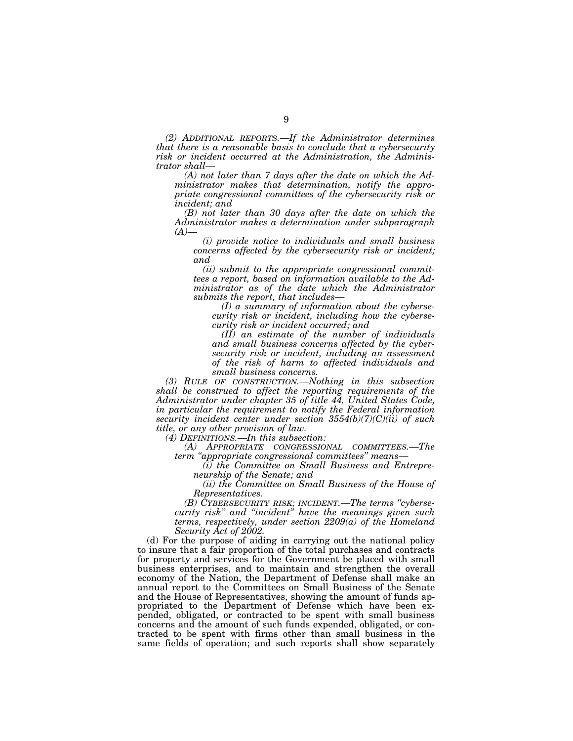*(2) ADDITIONAL REPORTS.—If the Administrator determines that there is a reasonable basis to conclude that a cybersecurity risk or incident occurred at the Administration, the Administrator shall—* 

*(A) not later than 7 days after the date on which the Administrator makes that determination, notify the appropriate congressional committees of the cybersecurity risk or incident; and* 

*(B) not later than 30 days after the date on which the Administrator makes a determination under subparagraph*   $(A)$ —

*(i) provide notice to individuals and small business concerns affected by the cybersecurity risk or incident; and* 

*(ii) submit to the appropriate congressional committees a report, based on information available to the Administrator as of the date which the Administrator submits the report, that includes—* 

*(I) a summary of information about the cybersecurity risk or incident, including how the cybersecurity risk or incident occurred; and* 

*(II) an estimate of the number of individuals and small business concerns affected by the cybersecurity risk or incident, including an assessment of the risk of harm to affected individuals and small business concerns.* 

*(3) RULE OF CONSTRUCTION.—Nothing in this subsection shall be construed to affect the reporting requirements of the Administrator under chapter 35 of title 44, United States Code, in particular the requirement to notify the Federal information security incident center under section 3554(b)(7)(C)(ii) of such title, or any other provision of law.* 

*(4) DEFINITIONS.—In this subsection:* 

*(A) APPROPRIATE CONGRESSIONAL COMMITTEES.—The term ''appropriate congressional committees'' means—* 

*(i) the Committee on Small Business and Entrepreneurship of the Senate; and* 

*(ii) the Committee on Small Business of the House of Representatives.* 

*(B) CYBERSECURITY RISK; INCIDENT.—The terms ''cybersecurity risk'' and ''incident'' have the meanings given such terms, respectively, under section 2209(a) of the Homeland Security Act of 2002.* 

(d) For the purpose of aiding in carrying out the national policy to insure that a fair proportion of the total purchases and contracts for property and services for the Government be placed with small business enterprises, and to maintain and strengthen the overall economy of the Nation, the Department of Defense shall make an annual report to the Committees on Small Business of the Senate and the House of Representatives, showing the amount of funds appropriated to the Department of Defense which have been expended, obligated, or contracted to be spent with small business concerns and the amount of such funds expended, obligated, or contracted to be spent with firms other than small business in the same fields of operation; and such reports shall show separately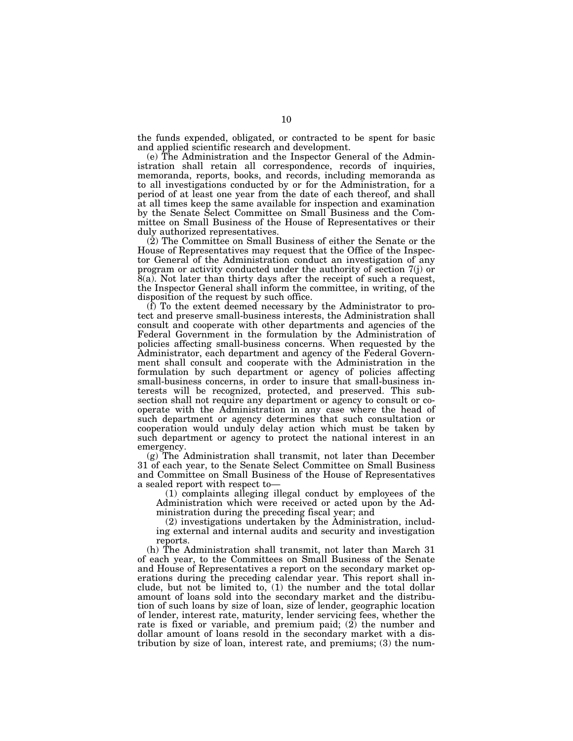the funds expended, obligated, or contracted to be spent for basic and applied scientific research and development.

(e) The Administration and the Inspector General of the Administration shall retain all correspondence, records of inquiries, memoranda, reports, books, and records, including memoranda as to all investigations conducted by or for the Administration, for a period of at least one year from the date of each thereof, and shall at all times keep the same available for inspection and examination by the Senate Select Committee on Small Business and the Committee on Small Business of the House of Representatives or their duly authorized representatives.

(2) The Committee on Small Business of either the Senate or the House of Representatives may request that the Office of the Inspector General of the Administration conduct an investigation of any program or activity conducted under the authority of section 7(j) or 8(a). Not later than thirty days after the receipt of such a request, the Inspector General shall inform the committee, in writing, of the disposition of the request by such office.

(f) To the extent deemed necessary by the Administrator to protect and preserve small-business interests, the Administration shall consult and cooperate with other departments and agencies of the Federal Government in the formulation by the Administration of policies affecting small-business concerns. When requested by the Administrator, each department and agency of the Federal Government shall consult and cooperate with the Administration in the formulation by such department or agency of policies affecting small-business concerns, in order to insure that small-business interests will be recognized, protected, and preserved. This subsection shall not require any department or agency to consult or cooperate with the Administration in any case where the head of such department or agency determines that such consultation or cooperation would unduly delay action which must be taken by such department or agency to protect the national interest in an emergency.

(g) The Administration shall transmit, not later than December 31 of each year, to the Senate Select Committee on Small Business and Committee on Small Business of the House of Representatives a sealed report with respect to—

(1) complaints alleging illegal conduct by employees of the Administration which were received or acted upon by the Administration during the preceding fiscal year; and

(2) investigations undertaken by the Administration, including external and internal audits and security and investigation reports.

(h) The Administration shall transmit, not later than March 31 of each year, to the Committees on Small Business of the Senate and House of Representatives a report on the secondary market operations during the preceding calendar year. This report shall include, but not be limited to, (1) the number and the total dollar amount of loans sold into the secondary market and the distribution of such loans by size of loan, size of lender, geographic location of lender, interest rate, maturity, lender servicing fees, whether the rate is fixed or variable, and premium paid; (2) the number and dollar amount of loans resold in the secondary market with a distribution by size of loan, interest rate, and premiums; (3) the num